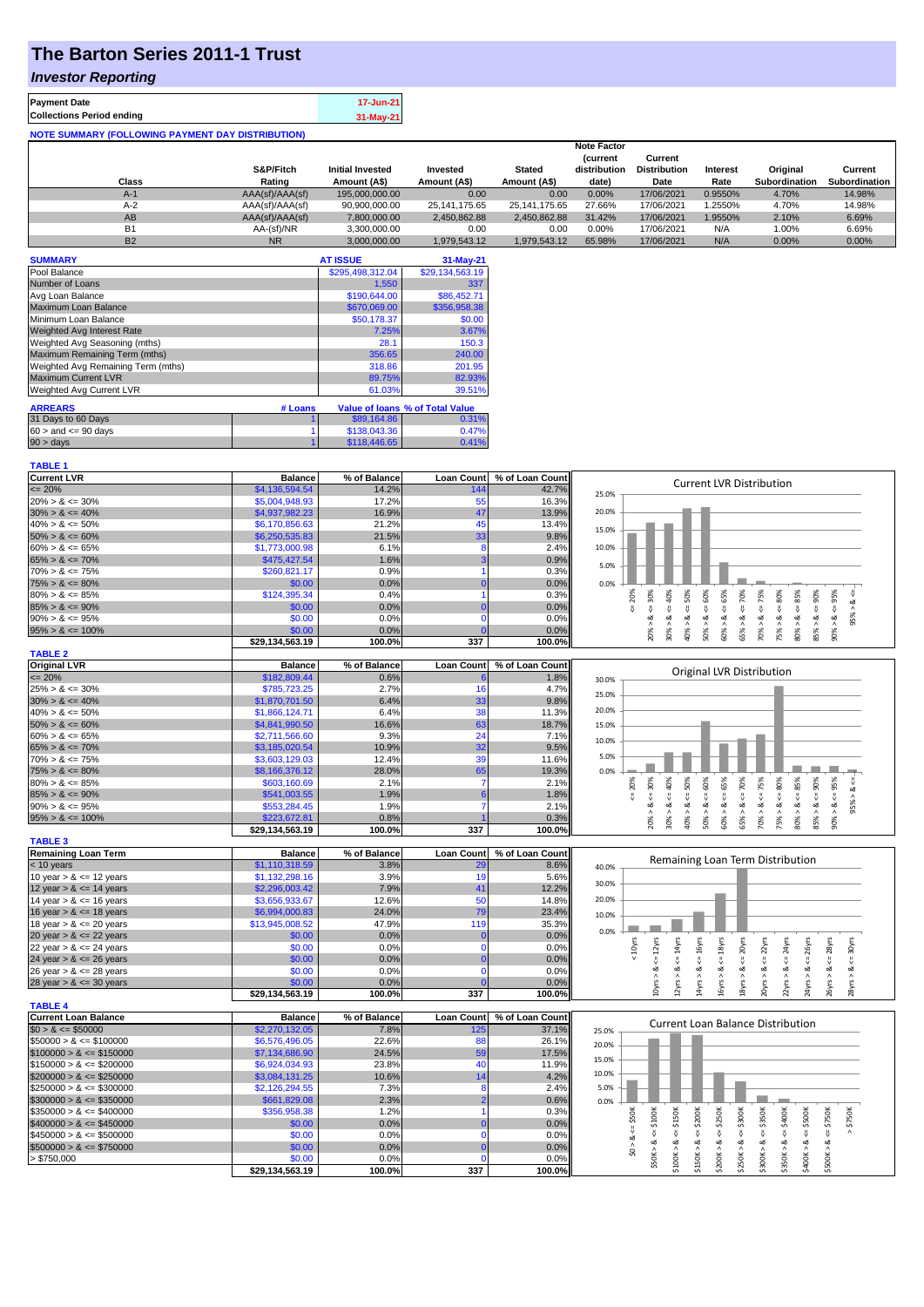### **The Barton Series 2011-1 Trust**

#### *Investor Reporting*

| <b>Payment Date</b>                                      | 17-Jun-21   |
|----------------------------------------------------------|-------------|
| <b>Collections Period ending</b>                         | $31-May-21$ |
| <b>NOTE SUMMARY (FOLLOWING PAYMENT DAY DISTRIBUTION)</b> |             |

|           | <b>Note Factor</b> |                         |                  |               |                 |                     |          |               |               |
|-----------|--------------------|-------------------------|------------------|---------------|-----------------|---------------------|----------|---------------|---------------|
|           |                    |                         |                  |               | <i>(current</i> | Current             |          |               |               |
|           | S&P/Fitch          | <b>Initial Invested</b> | Invested         | <b>Stated</b> | distribution    | <b>Distribution</b> | Interest | Original      | Current       |
| Class     | Rating             | Amount (A\$)            | Amount (A\$)     | Amount (A\$)  | date)           | Date                | Rate     | Subordination | Subordination |
| $A-1$     | AAA(sf)/AAA(sf)    | 195,000,000,00          | 0.00             | 0.00          | 0.00%           | 17/06/2021          | 0.9550%  | 4.70%         | 14.98%        |
| $A-2$     | AAA(sf)/AAA(sf)    | 90,900,000.00           | 25, 141, 175. 65 | 25.141.175.65 | 27.66%          | 17/06/2021          | .2550%   | 4.70%         | 14.98%        |
| AB        | AAA(sf)/AAA(sf)    | 7.800.000.00            | 2.450.862.88     | 2.450.862.88  | 31.42%          | 17/06/2021          | 1.9550%  | 2.10%         | 6.69%         |
| <b>B1</b> | AA-(sf)/NR         | 3.300.000.00            | 0.00             | 0.00          | 0.00%           | 17/06/2021          | N/A      | 1.00%         | 6.69%         |
| <b>B2</b> | <b>NR</b>          | 3.000.000.00            | 1.979.543.12     | 1.979.543.12  | 65.98%          | 17/06/2021          | N/A      | 0.00%         | 0.00%         |

| <b>SUMMARY</b>                     |         | <b>AT ISSUE</b>  | $31-May-21$                     |
|------------------------------------|---------|------------------|---------------------------------|
| Pool Balance                       |         | \$295,498,312.04 | \$29,134,563.19                 |
| Number of Loans                    |         | 1,550            | 337                             |
| Avg Loan Balance                   |         | \$190,644.00     | \$86,452.71                     |
| Maximum Loan Balance               |         | \$670,069.00     | \$356,958.38                    |
| Minimum Loan Balance               |         | \$50,178.37      | \$0.00                          |
| Weighted Avg Interest Rate         |         | 7.25%            | 3.67%                           |
| Weighted Avg Seasoning (mths)      |         | 28.1             | 150.3                           |
| Maximum Remaining Term (mths)      |         | 356.65           | 240.00                          |
| Weighted Avg Remaining Term (mths) |         | 318.86           | 201.95                          |
| <b>Maximum Current LVR</b>         |         | 89.75%           | 82.93%                          |
| Weighted Avg Current LVR           |         | 61.03%           | 39.51%                          |
| <b>ARREARS</b>                     | # Loans |                  | Value of Ioans % of Total Value |
| 31 Days to 60 Days                 |         | \$89,164.86      | 0.31%                           |
| $60 >$ and $\leq 90$ days          |         | \$138,043.36     | 0.47%                           |
| 90 > days                          |         | \$118,446.65     | 0.41%                           |

| <b>TABLE 1</b>              |                           |                |                   |                 |                                                                                                                                                        |
|-----------------------------|---------------------------|----------------|-------------------|-----------------|--------------------------------------------------------------------------------------------------------------------------------------------------------|
| <b>Current LVR</b>          | <b>Balance</b>            | % of Balance   | <b>Loan Count</b> | % of Loan Count | <b>Current LVR Distribution</b>                                                                                                                        |
| $= 20%$                     | \$4,136,594.54            | 14.2%          | 144               | 42.7%           | 25.0%                                                                                                                                                  |
| $20\% > 8 \le 30\%$         | \$5,004.948.93            | 17.2%          | 55                | 16.3%           |                                                                                                                                                        |
| $30\% > 8 \le 40\%$         | \$4,937,982.23            | 16.9%          | 47                | 13.9%           | 20.0%                                                                                                                                                  |
| $40\% > 8 \le 50\%$         | \$6,170,856.63            | 21.2%          | 45                | 13.4%           |                                                                                                                                                        |
| $50\% > 8 \le 60\%$         | \$6,250,535.83            | 21.5%          | 33                | 9.8%            | 15.0%                                                                                                                                                  |
| $60\% > 8 \le 65\%$         | \$1,773,000.98            | 6.1%           | 8                 | 2.4%            | 10.0%                                                                                                                                                  |
| $65\% > 8 \le 70\%$         | \$475,427.54              | 1.6%           |                   | 0.9%            |                                                                                                                                                        |
| $70\% > 8 \le 75\%$         | \$260,821.17              | 0.9%           |                   | 0.3%            | 5.0%                                                                                                                                                   |
| $75\% > 8 \le 80\%$         | \$0.00                    | 0.0%           |                   | 0.0%            | 0.0%                                                                                                                                                   |
| $80\% > 8 \le 85\%$         | \$124,395.34              | 0.4%           |                   | 0.3%            | $4 = 65%$<br>50%<br>20%<br>₩                                                                                                                           |
| $85\% > 8 \le 90\%$         | \$0.00                    | 0.0%           |                   | 0.0%            | $4 = 70\%$<br>$4 = 75%$<br>$4 = 30\%$<br>40%<br>$\leq 80\%$<br>585%<br>W<br>IJ,                                                                        |
| $90\% > 8 \le 95\%$         | \$0.00                    | 0.0%           | n                 | 0.0%            | 95% > 8<br>ಷ                                                                                                                                           |
| $95\% > 8 \le 100\%$        | \$0.00                    | 0.0%           |                   | 0.0%            | $50\% > 8 <= 60\%$<br>$85\% > 8 <= 90\%$<br>$90\% > 8 <= 95\%$<br>60% > 8<br>65% > 8<br>70% > 8.<br>$30\% > 8$<br>$20\% > 8$ .<br>75% > 8.<br>$\wedge$ |
|                             | \$29,134,563.19           | 100.0%         | 337               | 100.0%          | $80\% > 8.$<br>40%                                                                                                                                     |
| <b>TABLE 2</b>              |                           |                |                   |                 |                                                                                                                                                        |
| <b>Original LVR</b>         | <b>Balance</b>            | % of Balance   | <b>Loan Count</b> | % of Loan Count |                                                                                                                                                        |
| $= 20%$                     | \$182,809.44              | 0.6%           |                   | 1.8%            | Original LVR Distribution<br>30.0%                                                                                                                     |
| $25\% > 8 \le 30\%$         | \$785,723.25              | 2.7%           | 16                | 4.7%            |                                                                                                                                                        |
| $30\% > 8 \le 40\%$         | \$1,870,701.50            | 6.4%           | 33                | 9.8%            | 25.0%                                                                                                                                                  |
| $40\% > 8 \le 50\%$         | \$1,866,124.71            | 6.4%           | 38                | 11.3%           | 20.0%                                                                                                                                                  |
| $50\% > 8 \le 60\%$         | \$4,841,990.50            | 16.6%          | 63                | 18.7%           | 15.0%                                                                                                                                                  |
| $60\% > 8 \le 65\%$         | \$2,711,566.60            | 9.3%           | 24                | 7.1%            |                                                                                                                                                        |
| $65\% > 8 \le 70\%$         | \$3,185,020.54            | 10.9%          | 32                | 9.5%            | 10.0%                                                                                                                                                  |
| $70\% > 8 \le 75\%$         | \$3,603,129.03            | 12.4%          | 39                | 11.6%           | 5.0%                                                                                                                                                   |
| $75\% > 8 \le 80\%$         | \$8,166,376.12            | 28.0%          | 65                | 19.3%           | 0.0%                                                                                                                                                   |
| $80\% > 8 \le 85\%$         | \$603,160.69              | 2.1%           |                   | 2.1%            | 50%                                                                                                                                                    |
| $85\% > 8 \le 90\%$         | \$541,003.55              | 1.9%           |                   | 1.8%            | $8 - 65%$<br>$70\% > 8 \leq T5\%$<br>80%<br>$8 - 90%$<br>$8c = 30%$<br>$8 - 40%$<br>$<=60\%$<br>$90\% > 8 <= 95\%$<br>20%<br>$- > 8 < 8656$            |
| $90\% > 8 \le 95\%$         | \$553,284.45              | 1.9%           |                   | 2.1%            | ι,<br>v<br>ø                                                                                                                                           |
|                             | \$223,672.81              | 0.8%           |                   | 0.3%            |                                                                                                                                                        |
| $95\% > 8 \le 100\%$        | \$29,134,563.19           | 100.0%         | 337               | 100.0%          | $80\% > 8 <= 85\%$<br>$65% > 8 \le 70%$<br>20% > 8<br>30% > i<br>50% ><br>60% ><br>40% ><br>$85\%$ $>$                                                 |
| <b>TABLE 3</b>              |                           |                |                   |                 |                                                                                                                                                        |
| <b>Remaining Loan Term</b>  |                           |                |                   |                 |                                                                                                                                                        |
|                             |                           |                |                   |                 |                                                                                                                                                        |
|                             | <b>Balance</b>            | % of Balance   | <b>Loan Count</b> | % of Loan Count | Remaining Loan Term Distribution                                                                                                                       |
| < 10 years                  | \$1,110,318.59            | 3.8%           | 29                | 8.6%            | 40.0%                                                                                                                                                  |
| 10 year $> 8 \le 12$ years  | \$1,132,298.16            | 3.9%           | 19                | 5.6%            | 30.0%                                                                                                                                                  |
| 12 year $> 8 \le 14$ years  | \$2,296,003.42            | 7.9%           | 41                | 12.2%           | 20.0%                                                                                                                                                  |
| 14 year $> 8 \le 16$ years  | \$3,656,933.67            | 12.6%          | 50                | 14.8%           |                                                                                                                                                        |
| 16 year $> 8 \le 18$ years  | \$6,994,000.83            | 24.0%          | 79                | 23.4%           | 10.0%                                                                                                                                                  |
| 18 year $> 8 \le 20$ years  | \$13,945,008.52           | 47.9%          | 119               | 35.3%           | 0.0%                                                                                                                                                   |
| 20 year $> 8 \le 22$ years  | \$0.00                    | 0.0%           | $\Omega$          | 0.0%            |                                                                                                                                                        |
| 22 year $> 8 \le 24$ years  | \$0.00                    | 0.0%           | O                 | 0.0%            | 30yrs<br>22yrs<br>24yrs<br>26yrs<br>28yrs                                                                                                              |
| 24 year $> 8 \le 26$ years  | \$0.00                    | 0.0%           |                   | 0.0%            | $\leq 12$ yrs<br>$\leq 14$ yrs<br>< 16yrs<br>$\leq 18$ yrs<br>$\leq$ 20yrs<br>$< 10$ yrs<br>₩<br>₹<br>₩<br>₩<br>IJ,                                    |
| 26 year $> 8 \le 28$ years  | \$0.00                    | 0.0%           | O                 | 0.0%            | ಷ<br>ಷ<br>ಷ<br>ಷ<br>∞<br>ಷ<br>ಷ                                                                                                                        |
| 28 year $> 8 \le 30$ years  | \$0.00                    | 0.0%           |                   | 0.0%            |                                                                                                                                                        |
|                             | \$29,134,563.19           | 100.0%         | 337               | 100.0%          | 10yrs > 8<br>18yrs > 8<br>22yrs > 8<br>16yrs > 8<br>$20\gamma$ rs > 8<br>24yrs > 8<br>26yrs > 8<br>$12\gamma$ rs ><br>28yrs ><br>14yrs >               |
| <b>TABLE 4</b>              |                           |                |                   |                 |                                                                                                                                                        |
| <b>Current Loan Balance</b> | <b>Balance</b>            | % of Balance   | <b>Loan Count</b> | % of Loan Count | <b>Current Loan Balance Distribution</b>                                                                                                               |
| $$0 > 8 \le $50000$         | \$2,270,132.05            | 7.8%           | 125               | 37.1%           | 25.0%                                                                                                                                                  |
| $$50000 > 8 \le $100000$    | \$6,576,496.05            | 22.6%          | 88                | 26.1%           | 20.0%                                                                                                                                                  |
| $$100000 > 8 \leq $150000$  | \$7,134,686.90            | 24.5%          | <b>59</b>         | 17.5%           | 15.0%                                                                                                                                                  |
| $$150000 > 8 \leq $200000$  | \$6,924,034.93            | 23.8%          | 40                | 11.9%           | 10.0%                                                                                                                                                  |
| $$200000 > 8 \leq $250000$  | \$3,084,131.25            | 10.6%          | 14                | 4.2%            |                                                                                                                                                        |
| $$250000 > 8 \leq $300000$  | \$2,126,294.55            | 7.3%           | 8                 | 2.4%            | 5.0%                                                                                                                                                   |
| $$300000 > 8 \leq $350000$  | \$661,829.08              | 2.3%           |                   | 0.6%            | 0.0%                                                                                                                                                   |
| $$350000 > 8 \leq $400000$  | \$356,958.38              | 1.2%           |                   | 0.3%            |                                                                                                                                                        |
| $$400000 > 8 \leq $450000$  | \$0.00                    | 0.0%           |                   | 0.0%            | \$200K<br>\$150K<br><b>\$250K</b><br>$\le$ 550K<br>\$350K<br>\$500K<br>\$750K<br>\$750K                                                                |
| $$450000 > 8 \leq $500000$  | \$0.00                    | 0.0%           | O                 | 0.0%            | $\Leftarrow$ \$300K<br>$4 = $400K$<br>V<br>V<br>₩<br>V<br>₩<br>v.<br>ಷ<br>ಂಶ<br>ಷ                                                                      |
| $$500000 > 8 \leq $750000$  | \$0.00                    | 0.0%           |                   | 0.0%            | \$0 > 8                                                                                                                                                |
| > \$750,000                 | \$0.00<br>\$29,134,563.19 | 0.0%<br>100.0% | n<br>337          | 0.0%<br>100.0%  | $$50K > 8 \Leftarrow $100K$<br>\$100K > 8<br>\$200K > 8<br>\$150K > 8<br>\$250K > 8<br>\$350K > 8<br>\$300K><br>\$400K><br>\$500K>                     |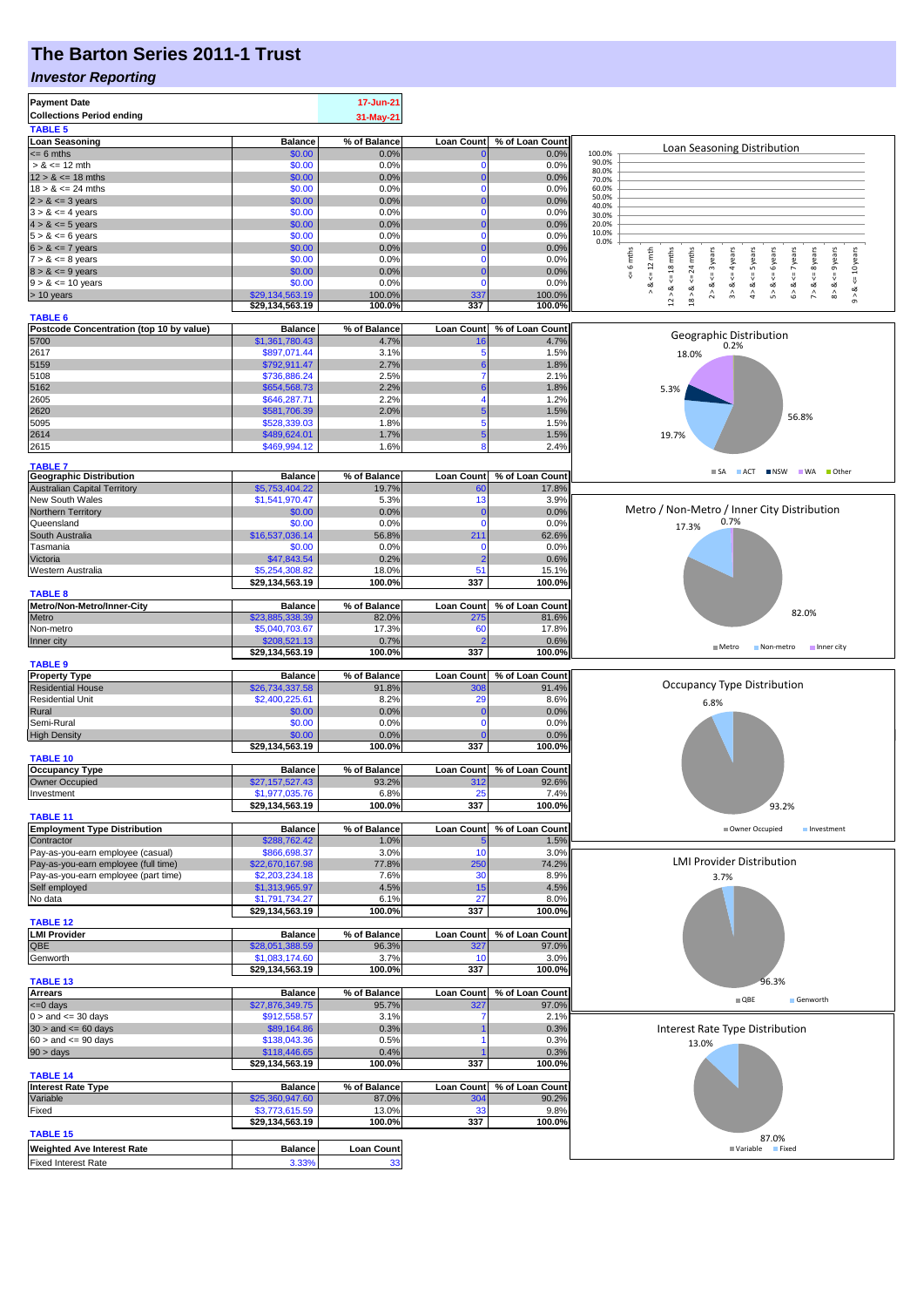## **The Barton Series 2011-1 Trust**

#### *Investor Reporting*

| <b>Payment Date</b>                              |                                   | 17-Jun-21             |                         |                          |                                                                                                                                                                                                             |  |  |  |
|--------------------------------------------------|-----------------------------------|-----------------------|-------------------------|--------------------------|-------------------------------------------------------------------------------------------------------------------------------------------------------------------------------------------------------------|--|--|--|
| <b>Collections Period ending</b>                 |                                   | 31-May-21             |                         |                          |                                                                                                                                                                                                             |  |  |  |
| <b>TABLE 5</b>                                   |                                   |                       |                         |                          |                                                                                                                                                                                                             |  |  |  |
| <b>Loan Seasoning</b>                            | <b>Balance</b>                    | % of Balance          | <b>Loan Count</b>       | % of Loan Count          |                                                                                                                                                                                                             |  |  |  |
| $\leq$ 6 mths                                    | \$0.00                            | 0.0%                  |                         | 0.0%                     | Loan Seasoning Distribution<br>100.0%                                                                                                                                                                       |  |  |  |
| $> 8 \le 12$ mth                                 | \$0.00                            | 0.0%                  |                         | 0.0%                     | 90.0%<br>80.0%                                                                                                                                                                                              |  |  |  |
| $12 > 8 \le 18$ mths                             | \$0.00                            | 0.0%                  | $\Omega$                | 0.0%                     | 70.0%                                                                                                                                                                                                       |  |  |  |
| $18 > 8 \le 24$ mths                             | \$0.00                            | 0.0%                  | $\Omega$                | 0.0%                     | 60.0%<br>50.0%                                                                                                                                                                                              |  |  |  |
| $2 > 8 \le 3$ years                              | \$0.00                            | 0.0%                  |                         | 0.0%                     | 40.0%                                                                                                                                                                                                       |  |  |  |
| $3 > 8 \le 4$ years                              | \$0.00                            | 0.0%                  | 0                       | 0.0%                     | 30.0%                                                                                                                                                                                                       |  |  |  |
| $4 > 8 \le 5$ years<br>$5 > 8 \le 6$ years       | \$0.00<br>\$0.00                  | 0.0%<br>0.0%          | $\mathbf 0$             | 0.0%<br>0.0%             | 20.0%<br>10.0%                                                                                                                                                                                              |  |  |  |
| $6 > 8 \le 7$ years                              | \$0.00                            | 0.0%                  |                         | 0.0%                     | 0.0%                                                                                                                                                                                                        |  |  |  |
| $7 > 8 \le 8$ years                              | \$0.00                            | 0.0%                  | 0                       | 0.0%                     | 6 mths<br>mths                                                                                                                                                                                              |  |  |  |
| $8 > 8 \le 9$ years                              | \$0.00                            | 0.0%                  |                         | 0.0%                     | $\leq 12$ mth<br>$12 > 8$ <= 18 mths<br><= 3 years<br>$\leq$ = 4 years<br>$\le$ 5 years<br>$\leq 6$ years<br>$6 > 8 < z < 7$ years<br>$\leq$ 8 years<br>$\leq$ 9 years<br>$\le$ 10 years<br>$\overline{24}$ |  |  |  |
| $9 > 8 \le 10$ years                             | \$0.00                            | 0.0%                  | $\Omega$                | 0.0%                     | ₹<br>∞                                                                                                                                                                                                      |  |  |  |
| > 10 years                                       | \$29,134,563.19                   | 100.0%                | 337                     | 100.0%                   | $2 > 8$<br>3 > 8<br>4 > 8<br>5 > 8<br>7 > 8<br>$8 - 8$<br>18 > 8.<br>$9 - 8$                                                                                                                                |  |  |  |
|                                                  | \$29,134,563.19                   | 100.0%                | 337                     | 100.0%                   |                                                                                                                                                                                                             |  |  |  |
| <b>TABLE 6</b>                                   |                                   |                       |                         |                          |                                                                                                                                                                                                             |  |  |  |
| Postcode Concentration (top 10 by value)         | <b>Balance</b>                    | % of Balance          | <b>Loan Count</b>       | % of Loan Count          | Geographic Distribution                                                                                                                                                                                     |  |  |  |
| 5700                                             | \$1,361,780.43                    | 4.7%                  |                         | 4.7%                     | 0.2%                                                                                                                                                                                                        |  |  |  |
| 2617                                             | \$897,071.44                      | 3.1%                  | 5                       | 1.5%                     | 18.0%                                                                                                                                                                                                       |  |  |  |
| 5159                                             | \$792,911.47                      | 2.7%                  |                         | 1.8%                     |                                                                                                                                                                                                             |  |  |  |
| 5108                                             | \$736,886.24<br>\$654,568.73      | 2.5%<br>2.2%          |                         | 2.1%<br>1.8%             |                                                                                                                                                                                                             |  |  |  |
| 5162<br>2605                                     | \$646,287.71                      | 2.2%                  |                         | 1.2%                     | 5.3%                                                                                                                                                                                                        |  |  |  |
| 2620                                             | \$581,706.39                      | 2.0%                  |                         | 1.5%                     |                                                                                                                                                                                                             |  |  |  |
| 5095                                             | \$528,339.03                      | 1.8%                  | 5                       | 1.5%                     | 56.8%                                                                                                                                                                                                       |  |  |  |
| 2614                                             | \$489,624.01                      | 1.7%                  | 5                       | 1.5%                     | 19.7%                                                                                                                                                                                                       |  |  |  |
| 2615                                             | \$469,994.12                      | 1.6%                  | 8                       | 2.4%                     |                                                                                                                                                                                                             |  |  |  |
|                                                  |                                   |                       |                         |                          |                                                                                                                                                                                                             |  |  |  |
| <b>TABLE 7</b><br><b>Geographic Distribution</b> |                                   |                       |                         |                          | SA ACT NSW WA Other                                                                                                                                                                                         |  |  |  |
| <b>Australian Capital Territory</b>              | <b>Balance</b><br>\$5,753,404.22  | % of Balance<br>19.7% | <b>Loan Count</b><br>60 | % of Loan Count<br>17.8% |                                                                                                                                                                                                             |  |  |  |
| New South Wales                                  | \$1,541,970.47                    | 5.3%                  | 13                      | 3.9%                     |                                                                                                                                                                                                             |  |  |  |
| Northern Territory                               | \$0.00                            | 0.0%                  | $\Omega$                | 0.0%                     | Metro / Non-Metro / Inner City Distribution                                                                                                                                                                 |  |  |  |
| Queensland                                       | \$0.00                            | 0.0%                  | $\Omega$                | 0.0%                     | 0.7%                                                                                                                                                                                                        |  |  |  |
| South Australia                                  | \$16,537,036.14                   | 56.8%                 | 211                     | 62.6%                    | 17.3%                                                                                                                                                                                                       |  |  |  |
| Tasmania                                         | \$0.00                            | 0.0%                  |                         | 0.0%                     |                                                                                                                                                                                                             |  |  |  |
| Victoria                                         | \$47,843.54                       | 0.2%                  |                         | 0.6%                     |                                                                                                                                                                                                             |  |  |  |
| Western Australia                                | \$5,254,308.82                    | 18.0%                 | 51                      | 15.1%                    |                                                                                                                                                                                                             |  |  |  |
|                                                  | \$29,134,563.19                   | 100.0%                | 337                     | 100.0%                   |                                                                                                                                                                                                             |  |  |  |
| <b>TABLE 8</b>                                   |                                   |                       |                         |                          |                                                                                                                                                                                                             |  |  |  |
| Metro/Non-Metro/Inner-City                       | <b>Balance</b>                    | % of Balance          | <b>Loan Count</b>       | % of Loan Count          |                                                                                                                                                                                                             |  |  |  |
| Metro                                            | \$23,885,338.39                   | 82.0%                 | 275                     | 81.6%                    | 82.0%                                                                                                                                                                                                       |  |  |  |
| Non-metro                                        | \$5,040,703.67                    | 17.3%                 | 60                      | 17.8%                    |                                                                                                                                                                                                             |  |  |  |
| Inner city                                       | \$208,521.13                      | 0.7%                  |                         | 0.6%                     | Metro<br>Non-metro<br>Inner city                                                                                                                                                                            |  |  |  |
|                                                  | \$29,134,563.19                   | 100.0%                | 337                     | 100.0%                   |                                                                                                                                                                                                             |  |  |  |
| <b>TABLE 9</b>                                   |                                   |                       |                         |                          |                                                                                                                                                                                                             |  |  |  |
| <b>Property Type</b><br><b>Residential House</b> | <b>Balance</b><br>\$26,734,337.58 | % of Balance<br>91.8% | <b>Loan Count</b>       | % of Loan Count<br>91.4% | Occupancy Type Distribution                                                                                                                                                                                 |  |  |  |
| <b>Residential Unit</b>                          | \$2,400,225.61                    | 8.2%                  | 300<br>29               | 8.6%                     |                                                                                                                                                                                                             |  |  |  |
| Rural                                            | \$0.00                            | 0.0%                  | O                       | 0.0%                     | 6.8%                                                                                                                                                                                                        |  |  |  |
| Semi-Rural                                       | \$0.00                            | 0.0%                  | $\Omega$                | 0.0%                     |                                                                                                                                                                                                             |  |  |  |
| <b>High Density</b>                              | \$0.00                            | 0.0%                  |                         | 0.0%                     |                                                                                                                                                                                                             |  |  |  |
|                                                  | \$29,134,563.19                   | 100.0%                | 337                     | 100.0%                   |                                                                                                                                                                                                             |  |  |  |
| <b>TABLE 10</b>                                  |                                   |                       |                         |                          |                                                                                                                                                                                                             |  |  |  |
| <b>Occupancy Type</b>                            | <b>Balance</b>                    | % of Balance          | <b>Loan Count</b>       | % of Loan Count          |                                                                                                                                                                                                             |  |  |  |
| Owner Occupied                                   | \$27,157,527.43                   | 93.2%                 | 312                     | 92.6%                    |                                                                                                                                                                                                             |  |  |  |
| Investment                                       | \$1,977,035.76                    | 6.8%                  | 25                      | 7.4%                     |                                                                                                                                                                                                             |  |  |  |
|                                                  | \$29,134,563.19                   | 100.0%                | 337                     | 100.0%                   | 93.2%                                                                                                                                                                                                       |  |  |  |
| TABLE 11                                         |                                   |                       |                         |                          |                                                                                                                                                                                                             |  |  |  |
| <b>Employment Type Distribution</b>              | <b>Balance</b>                    | % of Balance          | <b>Loan Count</b>       | % of Loan Count          | Owner Occupied<br>Investment                                                                                                                                                                                |  |  |  |
| Contractor<br>Pay-as-you-earn employee (casual)  | \$288,762.42<br>\$866,698.37      | 1.0%<br>3.0%          | 10                      | 1.5%<br>3.0%             |                                                                                                                                                                                                             |  |  |  |
| Pay-as-you-earn employee (full time)             | \$22,670,167.98                   | 77.8%                 | 250                     | 74.2%                    | <b>LMI Provider Distribution</b>                                                                                                                                                                            |  |  |  |
| Pay-as-you-earn employee (part time)             | \$2,203,234.18                    | 7.6%                  | 30                      | 8.9%                     | 3.7%                                                                                                                                                                                                        |  |  |  |
| Self employed                                    | \$1,313,965.97                    | 4.5%                  | 15                      | 4.5%                     |                                                                                                                                                                                                             |  |  |  |
| No data                                          | \$1,791,734.27                    | 6.1%                  | 27                      | 8.0%                     |                                                                                                                                                                                                             |  |  |  |
|                                                  | \$29,134,563.19                   | 100.0%                | 337                     | 100.0%                   |                                                                                                                                                                                                             |  |  |  |
| <b>TABLE 12</b>                                  |                                   |                       |                         |                          |                                                                                                                                                                                                             |  |  |  |
| <b>LMI Provider</b>                              | <b>Balance</b>                    | % of Balance          | <b>Loan Count</b>       | % of Loan Count          |                                                                                                                                                                                                             |  |  |  |
| QBE                                              | \$28,051,388.59                   | 96.3%                 | 32                      | 97.0%                    |                                                                                                                                                                                                             |  |  |  |
| Genworth                                         | \$1,083,174.60                    | 3.7%                  | 10                      | 3.0%                     |                                                                                                                                                                                                             |  |  |  |
|                                                  | \$29,134,563.19                   | 100.0%                | 337                     | 100.0%                   |                                                                                                                                                                                                             |  |  |  |
| <b>TABLE 13</b>                                  | <b>Balance</b>                    | % of Balance          | <b>Loan Count</b>       | % of Loan Count          | 96.3%                                                                                                                                                                                                       |  |  |  |
| $\frac{\text{Arrears}}{\text{<-0 days}}$         | \$27,876,349.75                   | 95.7%                 | 327                     | 97.0%                    | $\blacksquare$ QBE<br>Genworth                                                                                                                                                                              |  |  |  |
| $0 >$ and $\lt = 30$ days                        | \$912,558.57                      | 3.1%                  |                         | 2.1%                     |                                                                                                                                                                                                             |  |  |  |
| $30 >$ and $\leq 60$ days                        | \$89,164.86                       | 0.3%                  |                         | 0.3%                     | Interest Rate Type Distribution                                                                                                                                                                             |  |  |  |
| $60 >$ and $\leq 90$ days                        | \$138,043.36                      | 0.5%                  |                         | 0.3%                     | 13.0%                                                                                                                                                                                                       |  |  |  |
| 90 > days                                        | \$118,446.65                      | 0.4%                  |                         | 0.3%                     |                                                                                                                                                                                                             |  |  |  |
|                                                  | \$29,134,563.19                   | 100.0%                | 337                     | 100.0%                   |                                                                                                                                                                                                             |  |  |  |
| <b>TABLE 14</b>                                  |                                   |                       |                         |                          |                                                                                                                                                                                                             |  |  |  |
| <b>Interest Rate Type</b>                        | <b>Balance</b>                    | % of Balance          | Loan Count              | % of Loan Count          |                                                                                                                                                                                                             |  |  |  |
| Variable                                         | \$25,360,947.60                   | 87.0%                 | 304                     | 90.2%                    |                                                                                                                                                                                                             |  |  |  |
| Fixed                                            | \$3,773,615.59                    | 13.0%                 | 33                      | 9.8%                     |                                                                                                                                                                                                             |  |  |  |
|                                                  | \$29,134,563.19                   | 100.0%                | 337                     | 100.0%                   |                                                                                                                                                                                                             |  |  |  |
| <b>TABLE 15</b>                                  |                                   |                       |                         |                          | 87.0%                                                                                                                                                                                                       |  |  |  |
| <b>Weighted Ave Interest Rate</b>                | <b>Balance</b>                    | <b>Loan Count</b>     |                         |                          | <b>■ Variable</b><br>Fixed                                                                                                                                                                                  |  |  |  |
|                                                  |                                   |                       |                         |                          |                                                                                                                                                                                                             |  |  |  |